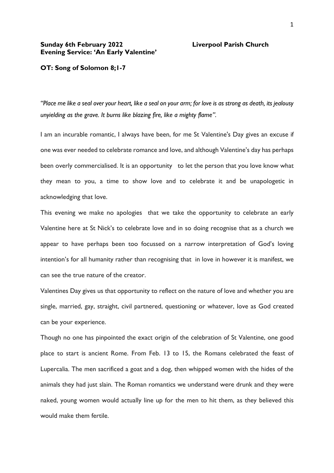## **Sunday 6th February 2022 Liverpool Parish Church Evening Service: 'An Early Valentine'**

## **OT: Song of Solomon 8;1-7**

*"Place me like a seal over your heart, like a seal on your arm; for love is as strong as death, its jealousy unyielding as the grave. It burns like blazing fire, like a mighty flame".*

I am an incurable romantic, I always have been, for me St Valentine's Day gives an excuse if one was ever needed to celebrate romance and love, and although Valentine's day has perhaps been overly commercialised. It is an opportunity to let the person that you love know what they mean to you, a time to show love and to celebrate it and be unapologetic in acknowledging that love.

This evening we make no apologies that we take the opportunity to celebrate an early Valentine here at St Nick's to celebrate love and in so doing recognise that as a church we appear to have perhaps been too focussed on a narrow interpretation of God's loving intention's for all humanity rather than recognising that in love in however it is manifest, we can see the true nature of the creator.

Valentines Day gives us that opportunity to reflect on the nature of love and whether you are single, married, gay, straight, civil partnered, questioning or whatever, love as God created can be your experience.

Though no one has pinpointed the exact origin of the celebration of St Valentine, one good place to start is ancient Rome. From Feb. 13 to 15, the Romans celebrated the feast of Lupercalia. The men sacrificed a goat and a dog, then whipped women with the hides of the animals they had just slain. The Roman romantics we understand were drunk and they were naked, young women would actually line up for the men to hit them, as they believed this would make them fertile.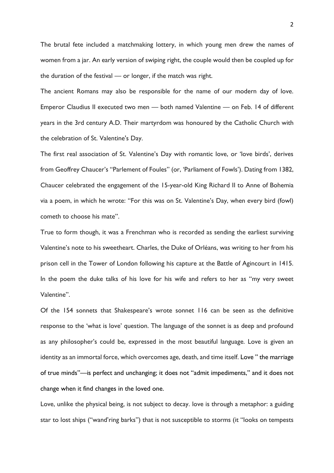The brutal fete included a matchmaking lottery, in which young men drew the names of women from a jar. An early version of swiping right, the couple would then be coupled up for the duration of the festival — or longer, if the match was right.

The ancient Romans may also be responsible for the name of our modern day of love. Emperor Claudius II executed two men — both named Valentine — on Feb. 14 of different years in the 3rd century A.D. Their martyrdom was honoured by the Catholic Church with the celebration of St. Valentine's Day.

The first real association of St. Valentine's Day with romantic love, or 'love birds', derives from Geoffrey Chaucer's "Parlement of Foules" (or, 'Parliament of Fowls'). Dating from 1382, Chaucer celebrated the engagement of the 15-year-old King Richard II to Anne of Bohemia via a poem, in which he wrote: "For this was on St. Valentine's Day, when every bird (fowl) cometh to choose his mate".

True to form though, it was a Frenchman who is recorded as sending the earliest surviving Valentine's note to his sweetheart. Charles, the Duke of Orléans, was writing to her from his prison cell in the Tower of London following his capture at the Battle of Agincourt in 1415. In the poem the duke talks of his love for his wife and refers to her as "my very sweet Valentine".

Of the 154 sonnets that Shakespeare's wrote sonnet 116 can be seen as the definitive response to the 'what is love' question. The language of the sonnet is as deep and profound as any philosopher's could be, expressed in the most beautiful language. Love is given an identity as an immortal force, which overcomes age, death, and time itself. Love " the marriage of true minds"—is perfect and unchanging; it does not "admit impediments," and it does not change when it find changes in the loved one.

Love, unlike the physical being, is not subject to decay. love is through a metaphor: a guiding star to lost ships ("wand'ring barks") that is not susceptible to storms (it "looks on tempests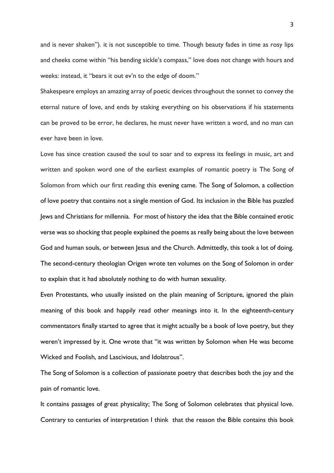and is never shaken"). it is not susceptible to time. Though beauty fades in time as rosy lips and cheeks come within "his bending sickle's compass," love does not change with hours and weeks: instead, it "bears it out ev'n to the edge of doom."

Shakespeare employs an amazing array of poetic devices throughout the sonnet to convey the eternal nature of love, and ends by staking everything on his observations if his statements can be proved to be error, he declares, he must never have written a word, and no man can ever have been in love.

Love has since creation caused the soul to soar and to express its feelings in music, art and written and spoken word one of the earliest examples of romantic poetry is The Song of Solomon from which our first reading this evening came. The Song of Solomon, a collection of love poetry that contains not a single mention of God. Its inclusion in the Bible has puzzled Jews and Christians for millennia. For most of history the idea that the Bible contained erotic verse was so shocking that people explained the poems as really being about the love between God and human souls, or between Jesus and the Church. Admittedly, this took a lot of doing. The second-century theologian Origen wrote ten volumes on the Song of Solomon in order to explain that it had absolutely nothing to do with human sexuality.

Even Protestants, who usually insisted on the plain meaning of Scripture, ignored the plain meaning of this book and happily read other meanings into it. In the eighteenth-century commentators finally started to agree that it might actually be a book of love poetry, but they weren't impressed by it. One wrote that "it was written by Solomon when He was become Wicked and Foolish, and Lascivious, and Idolatrous".

The Song of Solomon is a collection of passionate poetry that describes both the joy and the pain of romantic love.

It contains passages of great physicality; The Song of Solomon celebrates that physical love. Contrary to centuries of interpretation I think that the reason the Bible contains this book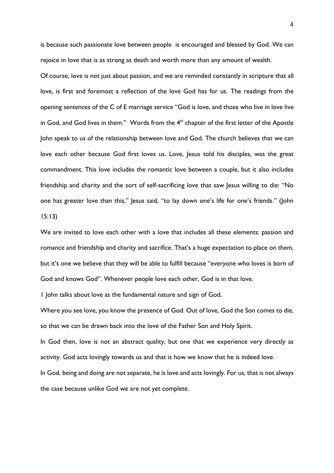is because such passionate love between people is encouraged and blessed by God. We can rejoice in love that is as strong as death and worth more than any amount of wealth.

Of course, love is not just about passion, and we are reminded constantly in scripture that all love, is first and foremost a reflection of the love God has for us. The readings from the opening sentences of the C of E marriage service "God is love, and those who live in love live in God, and God lives in them." Words from the 4<sup>th</sup> chapter of the first letter of the Apostle John speak to us of the relationship between love and God. The church believes that we can love each other because God first loves us. Love, Jesus told his disciples, was the great commandment. This love includes the romantic love between a couple, but it also includes friendship and charity and the sort of self-sacrificing love that saw Jesus willing to die: "No one has greater love than this," Jesus said, "to lay down one's life for one's friends." (John 15:13)

We are invited to love each other with a love that includes all these elements: passion and romance and friendship and charity and sacrifice. That's a huge expectation to place on them, but it's one we believe that they will be able to fulfill because "everyone who loves is born of God and knows God". Whenever people love each other, God is in that love.

1 John talks about love as the fundamental nature and sign of God.

Where you see love, you know the presence of God. Out of love, God the Son comes to die, so that we can be drawn back into the love of the Father Son and Holy Spirit.

In God then, love is not an abstract quality, but one that we experience very directly as activity. God acts lovingly towards us and that is how we know that he is indeed love.

In God, being and doing are not separate, he is love and acts lovingly. For us, that is not always the case because unlike God we are not yet complete.